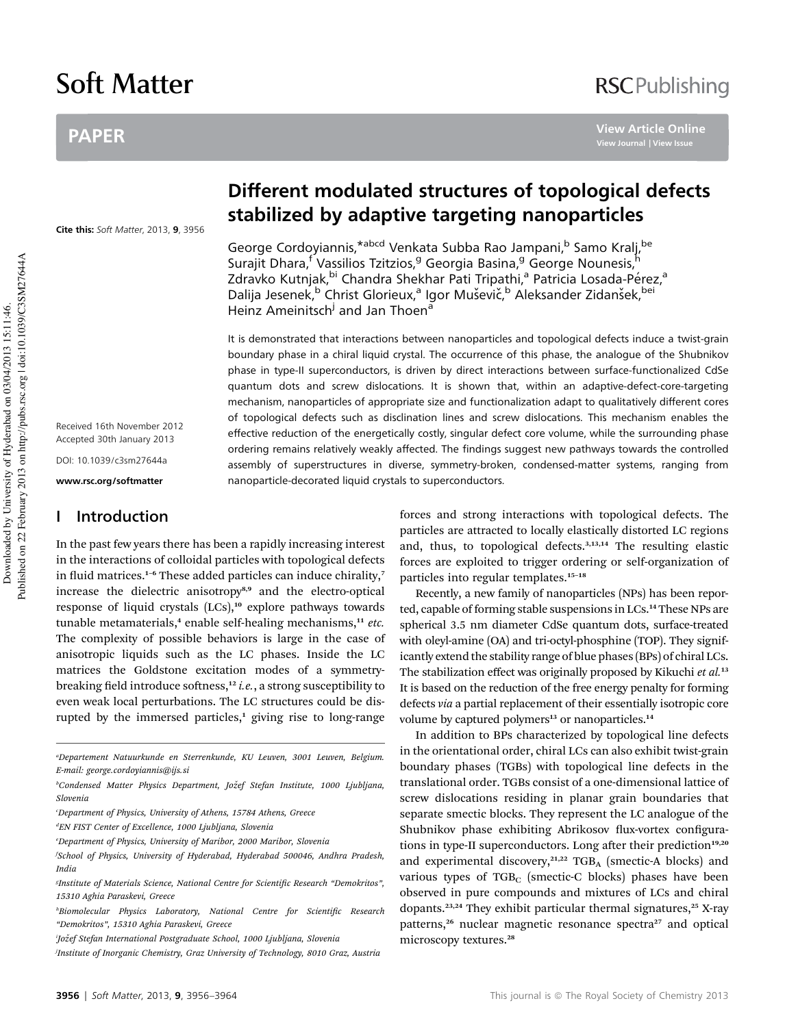# Soft Matter

# PAPER

#### Cite this: Soft Matter, 2013, 9, 3956

Received 16th November 2012 Accepted 30th January 2013

DOI: 10.1039/c3sm27644a

www.rsc.org/softmatter

## I Introduction

In the past few years there has been a rapidly increasing interest in the interactions of colloidal particles with topological defects in fluid matrices.<sup>1-6</sup> These added particles can induce chirality,<sup>7</sup> increase the dielectric anisotropy<sup>8,9</sup> and the electro-optical response of liquid crystals (LCs),<sup>10</sup> explore pathways towards tunable metamaterials, $4$  enable self-healing mechanisms, $11$  etc. The complexity of possible behaviors is large in the case of anisotropic liquids such as the LC phases. Inside the LC matrices the Goldstone excitation modes of a symmetrybreaking field introduce softness,<sup>12</sup> i.e., a strong susceptibility to even weak local perturbations. The LC structures could be disrupted by the immersed particles, $<sup>1</sup>$  giving rise to long-range</sup>

a Departement Natuurkunde en Sterrenkunde, KU Leuven, 3001 Leuven, Belgium. E-mail: george.cordoyiannis@ijs.si

e Department of Physics, University of Maribor, 2000 Maribor, Slovenia

# Different modulated structures of topological defects stabilized by adaptive targeting nanoparticles

George Cordoyiannis,<sup>\*abcd</sup> Venkata Subba Rao Jampani,<sup>b</sup> Samo Kralj,<sup>be</sup> Surajit Dhara,<sup>f</sup> Vassilios Tzitzios,<sup>g</sup> Georgia Basina,<sup>g</sup> George Nounesis,<sup>h</sup> Zdravko Kutnjak, <sup>bi</sup> Chandra Shekhar Pati Tripathi,<sup>a</sup> Patricia Losada-Pérez,<sup>a</sup> Dalija Jesenek,<sup>b</sup> Christ Glorieux,<sup>a</sup> Igor Muševič,<sup>b</sup> Aleksander Zidanšek,<sup>bei</sup> Heinz Ameinitsch<sup>j</sup> and Jan Thoen<sup>a</sup>

It is demonstrated that interactions between nanoparticles and topological defects induce a twist-grain boundary phase in a chiral liquid crystal. The occurrence of this phase, the analogue of the Shubnikov phase in type-II superconductors, is driven by direct interactions between surface-functionalized CdSe quantum dots and screw dislocations. It is shown that, within an adaptive-defect-core-targeting mechanism, nanoparticles of appropriate size and functionalization adapt to qualitatively different cores of topological defects such as disclination lines and screw dislocations. This mechanism enables the effective reduction of the energetically costly, singular defect core volume, while the surrounding phase ordering remains relatively weakly affected. The findings suggest new pathways towards the controlled assembly of superstructures in diverse, symmetry-broken, condensed-matter systems, ranging from nanoparticle-decorated liquid crystals to superconductors.

> forces and strong interactions with topological defects. The particles are attracted to locally elastically distorted LC regions and, thus, to topological defects.<sup>3,13,14</sup> The resulting elastic forces are exploited to trigger ordering or self-organization of particles into regular templates.<sup>15-18</sup>

> Recently, a new family of nanoparticles (NPs) has been reported, capable of forming stable suspensions in LCs.<sup>14</sup> These NPs are spherical 3.5 nm diameter CdSe quantum dots, surface-treated with oleyl-amine (OA) and tri-octyl-phosphine (TOP). They significantly extend the stability range of blue phases (BPs) of chiral LCs. The stabilization effect was originally proposed by Kikuchi et al.<sup>13</sup> It is based on the reduction of the free energy penalty for forming defects via a partial replacement of their essentially isotropic core volume by captured polymers<sup>13</sup> or nanoparticles.<sup>14</sup>

> In addition to BPs characterized by topological line defects in the orientational order, chiral LCs can also exhibit twist-grain boundary phases (TGBs) with topological line defects in the translational order. TGBs consist of a one-dimensional lattice of screw dislocations residing in planar grain boundaries that separate smectic blocks. They represent the LC analogue of the Shubnikov phase exhibiting Abrikosov flux-vortex configurations in type-II superconductors. Long after their prediction<sup>19,20</sup> and experimental discovery, $21,22$  TGB<sub>A</sub> (smectic-A blocks) and various types of  $TGB<sub>C</sub>$  (smectic-C blocks) phases have been observed in pure compounds and mixtures of LCs and chiral dopants.<sup>23,24</sup> They exhibit particular thermal signatures,<sup>25</sup> X-ray patterns,<sup>26</sup> nuclear magnetic resonance spectra<sup>27</sup> and optical microscopy textures.<sup>28</sup>

# **RSCPublishing**

**[View Article Online](http://dx.doi.org/10.1039/C3SM27644A)**

<sup>&</sup>lt;sup>b</sup>Condensed Matter Physics Department, Jožef Stefan Institute, 1000 Ljubljana, Slovenia

Department of Physics, University of Athens, 15784 Athens, Greece

d EN FIST Center of Excellence, 1000 Ljubljana, Slovenia

f School of Physics, University of Hyderabad, Hyderabad 500046, Andhra Pradesh, India

<sup>&</sup>lt;sup>g</sup>Institute of Materials Science, National Centre for Scientific Research "Demokritos", 15310 Aghia Paraskevi, Greece

<sup>&</sup>lt;sup>h</sup>Biomolecular Physics Laboratory, National Centre for Scientific Research "Demokritos", 15310 Aghia Paraskevi, Greece

<sup>&#</sup>x27;Jožef Stefan International Postgraduate School, 1000 Ljubljana, Slovenia

j Institute of Inorganic Chemistry, Graz University of Technology, 8010 Graz, Austria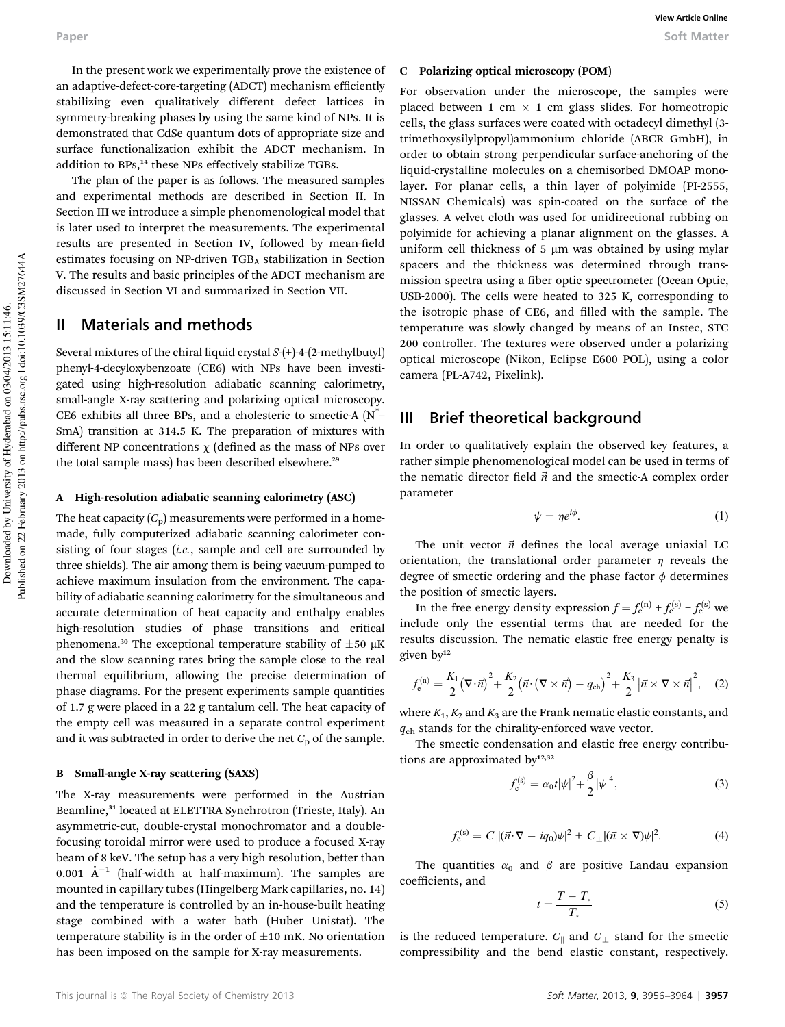In the present work we experimentally prove the existence of an adaptive-defect-core-targeting (ADCT) mechanism efficiently stabilizing even qualitatively different defect lattices in symmetry-breaking phases by using the same kind of NPs. It is demonstrated that CdSe quantum dots of appropriate size and surface functionalization exhibit the ADCT mechanism. In addition to BPs,<sup>14</sup> these NPs effectively stabilize TGBs.

The plan of the paper is as follows. The measured samples and experimental methods are described in Section II. In Section III we introduce a simple phenomenological model that is later used to interpret the measurements. The experimental results are presented in Section IV, followed by mean-field estimates focusing on NP-driven TGB<sub>A</sub> stabilization in Section V. The results and basic principles of the ADCT mechanism are discussed in Section VI and summarized in Section VII.

### II Materials and methods

Several mixtures of the chiral liquid crystal S-(+)-4-(2-methylbutyl) phenyl-4-decyloxybenzoate (CE6) with NPs have been investigated using high-resolution adiabatic scanning calorimetry, small-angle X-ray scattering and polarizing optical microscopy. CE6 exhibits all three BPs, and a cholesteric to smectic-A (N\* – SmA) transition at 314.5 K. The preparation of mixtures with different NP concentrations  $\chi$  (defined as the mass of NPs over the total sample mass) has been described elsewhere.<sup>29</sup>

#### A High-resolution adiabatic scanning calorimetry (ASC)

The heat capacity  $(C_p)$  measurements were performed in a homemade, fully computerized adiabatic scanning calorimeter consisting of four stages (i.e., sample and cell are surrounded by three shields). The air among them is being vacuum-pumped to achieve maximum insulation from the environment. The capability of adiabatic scanning calorimetry for the simultaneous and accurate determination of heat capacity and enthalpy enables high-resolution studies of phase transitions and critical phenomena.<sup>30</sup> The exceptional temperature stability of  $\pm 50 \mu K$ and the slow scanning rates bring the sample close to the real thermal equilibrium, allowing the precise determination of phase diagrams. For the present experiments sample quantities of 1.7 g were placed in a 22 g tantalum cell. The heat capacity of the empty cell was measured in a separate control experiment and it was subtracted in order to derive the net  $C_p$  of the sample.

#### B Small-angle X-ray scattering (SAXS)

The X-ray measurements were performed in the Austrian Beamline,<sup>31</sup> located at ELETTRA Synchrotron (Trieste, Italy). An asymmetric-cut, double-crystal monochromator and a doublefocusing toroidal mirror were used to produce a focused X-ray beam of 8 keV. The setup has a very high resolution, better than 0.001  $A^{-1}$  (half-width at half-maximum). The samples are mounted in capillary tubes (Hingelberg Mark capillaries, no. 14) and the temperature is controlled by an in-house-built heating stage combined with a water bath (Huber Unistat). The temperature stability is in the order of  $\pm 10$  mK. No orientation has been imposed on the sample for X-ray measurements.

#### C Polarizing optical microscopy (POM)

For observation under the microscope, the samples were placed between 1 cm  $\times$  1 cm glass slides. For homeotropic cells, the glass surfaces were coated with octadecyl dimethyl (3 trimethoxysilylpropyl)ammonium chloride (ABCR GmbH), in order to obtain strong perpendicular surface-anchoring of the liquid-crystalline molecules on a chemisorbed DMOAP monolayer. For planar cells, a thin layer of polyimide (PI-2555, NISSAN Chemicals) was spin-coated on the surface of the glasses. A velvet cloth was used for unidirectional rubbing on polyimide for achieving a planar alignment on the glasses. A uniform cell thickness of  $5 \mu m$  was obtained by using mylar spacers and the thickness was determined through transmission spectra using a fiber optic spectrometer (Ocean Optic, USB-2000). The cells were heated to 325 K, corresponding to the isotropic phase of CE6, and filled with the sample. The temperature was slowly changed by means of an Instec, STC 200 controller. The textures were observed under a polarizing optical microscope (Nikon, Eclipse E600 POL), using a color camera (PL-A742, Pixelink).

#### III Brief theoretical background

In order to qualitatively explain the observed key features, a rather simple phenomenological model can be used in terms of the nematic director field  $\vec{n}$  and the smectic-A complex order parameter

$$
\psi = \eta e^{i\phi}.\tag{1}
$$

The unit vector  $\vec{n}$  defines the local average uniaxial LC orientation, the translational order parameter  $\eta$  reveals the degree of smectic ordering and the phase factor  $\phi$  determines the position of smectic layers.

In the free energy density expression  $f = f_e^{(n)} + f_e^{(s)} + f_e^{(s)}$  we include only the essential terms that are needed for the results discussion. The nematic elastic free energy penalty is given by<sup>12</sup>

$$
f_{\rm e}^{(\rm n)} = \frac{K_1}{2} \left(\nabla \cdot \vec{n}\right)^2 + \frac{K_2}{2} \left(\vec{n} \cdot \left(\nabla \times \vec{n}\right) - q_{\rm ch}\right)^2 + \frac{K_3}{2} \left|\vec{n} \times \nabla \times \vec{n}\right|^2, \quad (2)
$$

where  $K_1, K_2$  and  $K_3$  are the Frank nematic elastic constants, and  $q<sub>ch</sub>$  stands for the chirality-enforced wave vector.

The smectic condensation and elastic free energy contributions are approximated by<sup>12,32</sup>

$$
f_c^{(s)} = \alpha_0 t |\psi|^2 + \frac{\beta}{2} |\psi|^4,
$$
 (3)

$$
f_{\rm e}^{\rm (s)} = C_{\parallel} |(\vec{n} \cdot \nabla - iq_0)\psi|^2 + C_{\perp} |(\vec{n} \times \nabla)\psi|^2. \tag{4}
$$

The quantities  $\alpha_0$  and  $\beta$  are positive Landau expansion coefficients, and

$$
t = \frac{T - T_*}{T_*} \tag{5}
$$

is the reduced temperature.  $C_{\parallel}$  and  $C_{\perp}$  stand for the smectic compressibility and the bend elastic constant, respectively.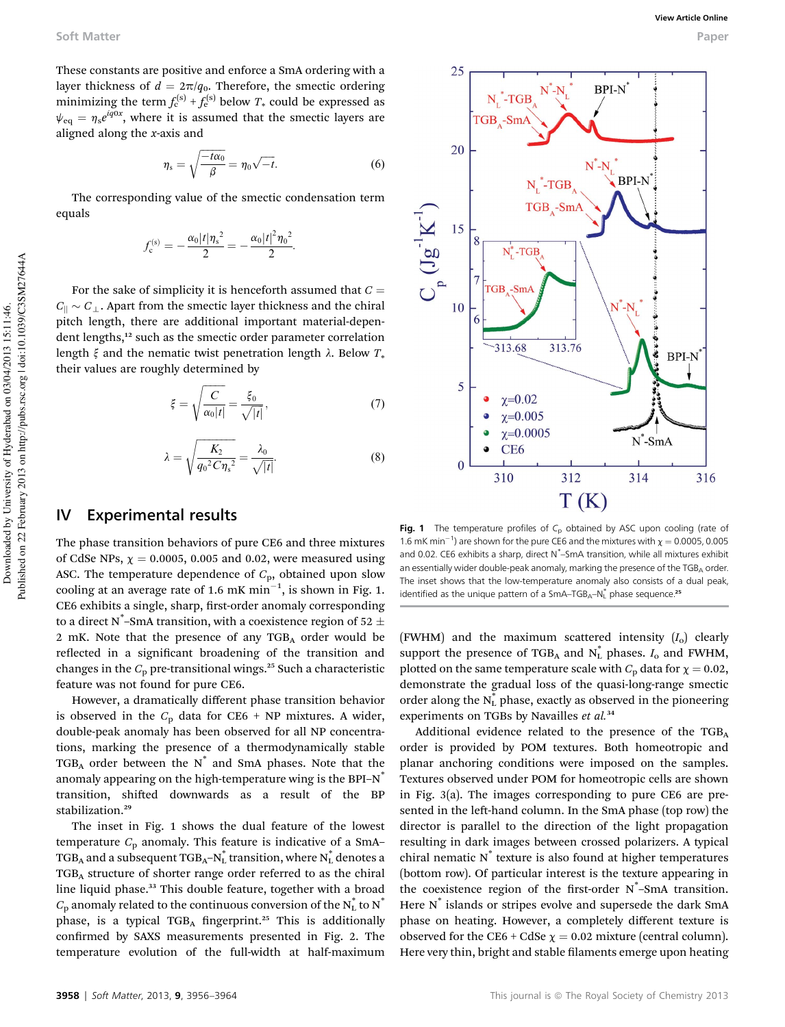BPI-N

**BPI-N** 

e e e

 $N^*$ -SmA

314

**BPI-N** 

316

These constants are positive and enforce a SmA ordering with a layer thickness of  $d = 2\pi/q_0$ . Therefore, the smectic ordering minimizing the term  $f_c^{(s)} + f_e^{(s)}$  below  $T_*$  could be expressed as  $\psi_{\text{eq}} = \eta_s e^{iq0x}$ , where it is assumed that the smectic layers are aligned along the x-axis and

$$
\eta_{\rm s} = \sqrt{\frac{-t\alpha_0}{\beta}} = \eta_0 \sqrt{-t}.\tag{6}
$$

25

20

15 8

10

5

 $\Omega$ 

 $\overline{7}$ **TGB**  $-SmA$ 

 $\epsilon$ 

 $\int_{\mathbb{R}} \mathfrak{g} \mathfrak{l}$ 

 $N_t$ <sup>\*</sup>-TGB TGB Sm

 $N_t^*$ -TGB

 $-313.68$ 

 $\chi = 0.02$  $\chi = 0.005$  $\chi=0.0005$ 

CE<sub>6</sub>

310

 $N^*$ -TGB  $TGB_A-Sm/$ 

The corresponding value of the smectic condensation term equals

$$
f_c^{(s)} = -\frac{\alpha_0 |t| \eta_s^2}{2} = -\frac{\alpha_0 |t|^2 \eta_0^2}{2}.
$$

For the sake of simplicity it is henceforth assumed that  $C =$  $C_{\parallel} \sim C_{\perp}$ . Apart from the smectic layer thickness and the chiral pitch length, there are additional important material-dependent lengths,<sup>12</sup> such as the smectic order parameter correlation length  $\xi$  and the nematic twist penetration length  $\lambda$ . Below  $T_*$ their values are roughly determined by

$$
\xi = \sqrt{\frac{C}{\alpha_0 |t|}} = \frac{\xi_0}{\sqrt{|t|}},\tag{7}
$$

$$
\lambda = \sqrt{\frac{K_2}{q_0^2 C \eta_s^2}} = \frac{\lambda_0}{\sqrt{|t|}}.
$$
 (8)

## IV Experimental results

The phase transition behaviors of pure CE6 and three mixtures of CdSe NPs,  $\chi = 0.0005$ , 0.005 and 0.02, were measured using ASC. The temperature dependence of  $C_p$ , obtained upon slow cooling at an average rate of 1.6 mK  $min^{-1}$ , is shown in Fig. 1. CE6 exhibits a single, sharp, first-order anomaly corresponding to a direct N\*–SmA transition, with a coexistence region of 52  $\pm$ 2 mK. Note that the presence of any  $TGB<sub>A</sub>$  order would be reflected in a significant broadening of the transition and changes in the  $C_p$  pre-transitional wings.<sup>25</sup> Such a characteristic feature was not found for pure CE6.

However, a dramatically different phase transition behavior is observed in the  $C_p$  data for CE6 + NP mixtures. A wider, double-peak anomaly has been observed for all NP concentrations, marking the presence of a thermodynamically stable  $TGB<sub>A</sub>$  order between the  $N^*$  and SmA phases. Note that the anomaly appearing on the high-temperature wing is the BPI- $N^*$ transition, shifted downwards as a result of the BP stabilization.<sup>29</sup>

The inset in Fig. 1 shows the dual feature of the lowest temperature  $C_p$  anomaly. This feature is indicative of a SmA-TGB<sub>A</sub> and a subsequent TGB<sub>A</sub>–N $_{\rm L}^*$  transition, where N $_{\rm L}^*$  denotes a TGBA structure of shorter range order referred to as the chiral line liquid phase.<sup>33</sup> This double feature, together with a broad  $C_{\rm p}$  anomaly related to the continuous conversion of the  $\rm N_L^*$  to  $\rm N^*$ phase, is a typical  $TGB<sub>A</sub>$  fingerprint.<sup>25</sup> This is additionally confirmed by SAXS measurements presented in Fig. 2. The temperature evolution of the full-width at half-maximum

 $T(K)$ Fig. 1 The temperature profiles of  $C_p$  obtained by ASC upon cooling (rate of 1.6 mK min<sup>-1</sup>) are shown for the pure CE6 and the mixtures with  $\chi = 0.0005$ , 0.005 and 0.02. CE6 exhibits a sharp, direct N<sup>\*</sup>-SmA transition, while all mixtures exhibit an essentially wider double-peak anomaly, marking the presence of the  $TGB<sub>A</sub>$  order. The inset shows that the low-temperature anomaly also consists of a dual peak, identified as the unique pattern of a SmA-TGB<sub>A</sub>-N<sub>L</sub><sup>\*</sup> phase sequence.<sup>25</sup>

312

313.76

(FWHM) and the maximum scattered intensity  $(I_0)$  clearly support the presence of TGB<sub>A</sub> and  $N_L^*$  phases.  $I_0$  and FWHM, plotted on the same temperature scale with  $C_p$  data for  $\chi = 0.02$ , demonstrate the gradual loss of the quasi-long-range smectic order along the  $N_L^*$  phase, exactly as observed in the pioneering experiments on TGBs by Navailles et al.<sup>34</sup>

Additional evidence related to the presence of the TGBA order is provided by POM textures. Both homeotropic and planar anchoring conditions were imposed on the samples. Textures observed under POM for homeotropic cells are shown in Fig. 3(a). The images corresponding to pure CE6 are presented in the left-hand column. In the SmA phase (top row) the director is parallel to the direction of the light propagation resulting in dark images between crossed polarizers. A typical chiral nematic  $N^*$  texture is also found at higher temperatures (bottom row). Of particular interest is the texture appearing in the coexistence region of the first-order  $N^*$ -SmA transition. Here N<sup>\*</sup> islands or stripes evolve and supersede the dark SmA phase on heating. However, a completely different texture is observed for the CE6 + CdSe  $\chi = 0.02$  mixture (central column). Here very thin, bright and stable filaments emerge upon heating

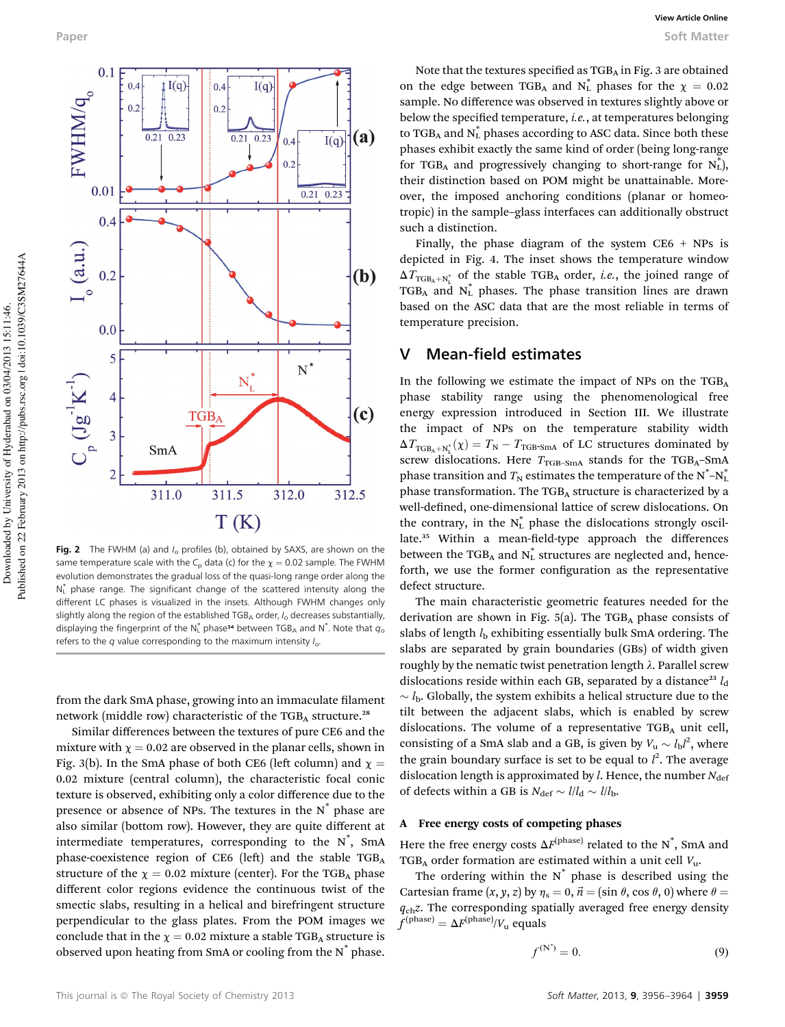

Fig. 2 The FWHM (a) and  $I_0$  profiles (b), obtained by SAXS, are shown on the same temperature scale with the C<sub>p</sub> data (c) for the  $\chi = 0.02$  sample. The FWHM evolution demonstrates the gradual loss of the quasi-long range order along the N<sub>L</sub> phase range. The significant change of the scattered intensity along the different LC phases is visualized in the insets. Although FWHM changes only slightly along the region of the established  $TGB<sub>A</sub>$  order,  $I<sub>o</sub>$  decreases substantially, displaying the fingerprint of the  $N_L^*$  phase<sup>34</sup> between TGB<sub>A</sub> and  $N^*$ . Note that  $q_c$ refers to the  $q$  value corresponding to the maximum intensity  $I_0$ .

from the dark SmA phase, growing into an immaculate filament network (middle row) characteristic of the  $TGB<sub>A</sub>$  structure.<sup>28</sup>

Similar differences between the textures of pure CE6 and the mixture with  $\chi = 0.02$  are observed in the planar cells, shown in Fig. 3(b). In the SmA phase of both CE6 (left column) and  $\chi$  = 0.02 mixture (central column), the characteristic focal conic texture is observed, exhibiting only a color difference due to the presence or absence of NPs. The textures in the  $N^*$  phase are also similar (bottom row). However, they are quite different at intermediate temperatures, corresponding to the  $N^*$ , SmA phase-coexistence region of CE6 (left) and the stable TGBA structure of the  $\chi = 0.02$  mixture (center). For the TGB<sub>A</sub> phase different color regions evidence the continuous twist of the smectic slabs, resulting in a helical and birefringent structure perpendicular to the glass plates. From the POM images we conclude that in the  $\chi = 0.02$  mixture a stable TGB<sub>A</sub> structure is observed upon heating from SmA or cooling from the N\* phase.

Note that the textures specified as  $TGB<sub>A</sub>$  in Fig. 3 are obtained on the edge between TGB<sub>A</sub> and  $N_L^*$  phases for the  $\chi = 0.02$ sample. No difference was observed in textures slightly above or below the specified temperature, *i.e.*, at temperatures belonging to TGB<sub>A</sub> and  $N^*_{L}$  phases according to ASC data. Since both these phases exhibit exactly the same kind of order (being long-range for TGB<sub>A</sub> and progressively changing to short-range for  $N_L^*$ ), their distinction based on POM might be unattainable. Moreover, the imposed anchoring conditions (planar or homeotropic) in the sample–glass interfaces can additionally obstruct such a distinction.

Finally, the phase diagram of the system  $CE6 + NPs$  is depicted in Fig. 4. The inset shows the temperature window  $\Delta T_{\text{TGB}_\text{A}+N^*_{\text{L}}}$  of the stable TGB<sub>A</sub> order, *i.e.*, the joined range of TGB<sub>A</sub> and  $N_L^*$  phases. The phase transition lines are drawn based on the ASC data that are the most reliable in terms of temperature precision.

#### V Mean-field estimates

In the following we estimate the impact of NPs on the  $TGB<sub>A</sub>$ phase stability range using the phenomenological free energy expression introduced in Section III. We illustrate the impact of NPs on the temperature stability width  $\Delta T_{\text{TGB}_A + N^*_{\text{L}}}(\chi) = T_{\text{N}} - T_{\text{TGB-SmA}}$  of LC structures dominated by screw dislocations. Here  $T_{\text{TGB-SmA}}$  stands for the TGB<sub>A</sub>-SmA phase transition and  $T_{\rm N}$  estimates the temperature of the  $\text{N}^{\ast}\text{-}\text{N}^{\ast}_{\text{I}}$ phase transformation. The  $TGB<sub>A</sub>$  structure is characterized by a well-defined, one-dimensional lattice of screw dislocations. On the contrary, in the  $N_L^*$  phase the dislocations strongly oscillate.<sup>35</sup> Within a mean-field-type approach the differences between the TGB<sub>A</sub> and  $N_L^*$  structures are neglected and, henceforth, we use the former configuration as the representative defect structure.

The main characteristic geometric features needed for the derivation are shown in Fig. 5(a). The TGB<sub>A</sub> phase consists of slabs of length  $l<sub>b</sub>$  exhibiting essentially bulk SmA ordering. The slabs are separated by grain boundaries (GBs) of width given roughly by the nematic twist penetration length  $\lambda$ . Parallel screw dislocations reside within each GB, separated by a distance<sup>23</sup>  $l_d$  $\sim l_{\rm b}$ . Globally, the system exhibits a helical structure due to the tilt between the adjacent slabs, which is enabled by screw dislocations. The volume of a representative  $TGB<sub>A</sub>$  unit cell, consisting of a SmA slab and a GB, is given by  $V_{\rm u} \sim l_{\rm b}l^2$ , where the grain boundary surface is set to be equal to  $l^2$ . The average dislocation length is approximated by  $l$ . Hence, the number  $N_{\text{def}}$ of defects within a GB is  $N_{\text{def}} \sim l/l_d \sim l/l_b$ .

#### A Free energy costs of competing phases

Here the free energy costs  $\Delta F^{\text{(phase)}}$  related to the N<sup>\*</sup>, SmA and TGB<sub>A</sub> order formation are estimated within a unit cell  $V_{\text{u}}$ .

The ordering within the  $N^*$  phase is described using the Cartesian frame  $(x, y, z)$  by  $\eta_s = 0$ ,  $\vec{n} = (\sin \theta, \cos \theta, 0)$  where  $\theta =$  $q_{ch}z$ . The corresponding spatially averaged free energy density  $f^{\text{(phase)}} = \Delta F^{\text{(phase)}}/V_u$  equals

$$
f^{(N^*)} = 0.\tag{9}
$$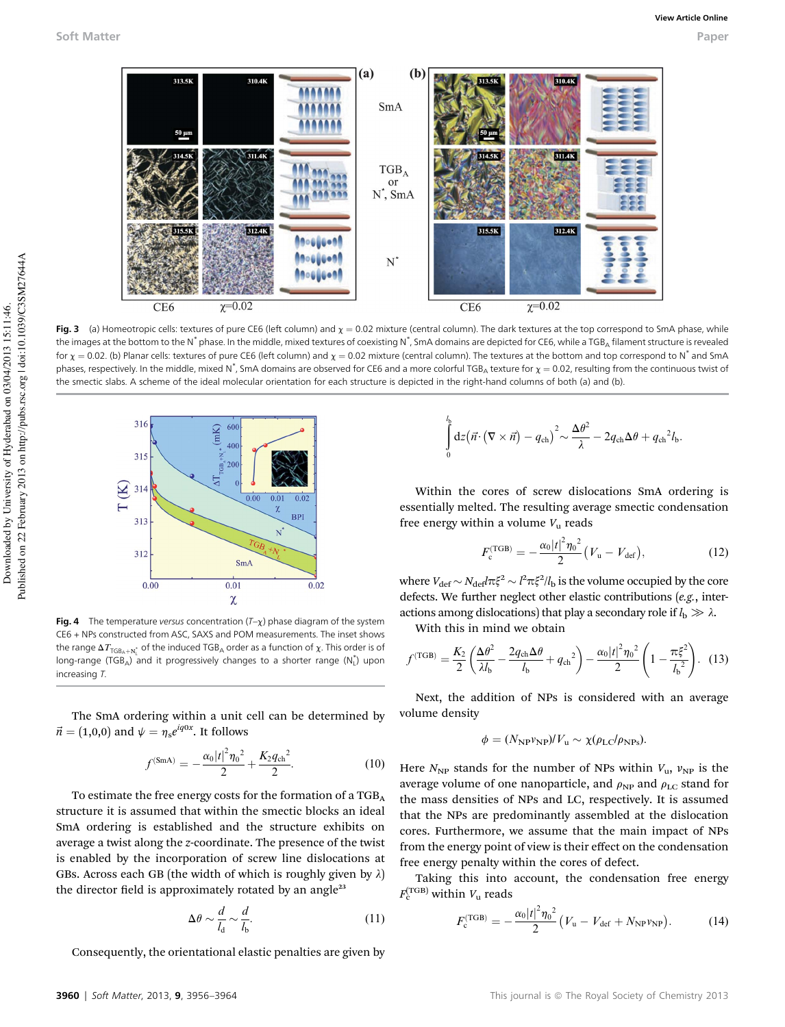

Fig. 3 (a) Homeotropic cells: textures of pure CE6 (left column) and  $\chi = 0.02$  mixture (central column). The dark textures at the top correspond to SmA phase, while the images at the bottom to the N $^*$ phase. In the middle, mixed textures of coexisting N $^*$ , SmA domains are depicted for CE6, while a TGB<sub>A</sub> filament structure is revealed for  $\chi = 0.02$ . (b) Planar cells: textures of pure CE6 (left column) and  $\chi = 0.02$  mixture (central column). The textures at the bottom and top correspond to N<sup>\*</sup> and SmA phases, respectively. In the middle, mixed N $^*$ , SmA domains are observed for CE6 and a more colorful TGB<sub>A</sub> texture for  $\chi=$  0.02, resulting from the continuous twist of the smectic slabs. A scheme of the ideal molecular orientation for each structure is depicted in the right-hand columns of both (a) and (b).



Fig. 4 The temperature versus concentration  $(T-\chi)$  phase diagram of the system CE6 + NPs constructed from ASC, SAXS and POM measurements. The inset shows the range  $\Delta T_{\mathsf{TGB_A}+\mathsf{N}^*_\mathsf{L}}$  of the induced TGB<sub>A</sub> order as a function of  $\chi$ . This order is of long-range (TGB<sub>A</sub>) and it progressively changes to a shorter range  $(N_L^*)$  upon increasing T.

The SmA ordering within a unit cell can be determined by  $\vec{n} = (1,0,0)$  and  $\psi = \eta_s e^{iq0x}$ . It follows

$$
f^{(\text{SmA})} = -\frac{\alpha_0 |t|^2 \eta_0^2}{2} + \frac{K_2 q_{\text{ch}}^2}{2}.
$$
 (10)

To estimate the free energy costs for the formation of a TGB<sub>A</sub> structure it is assumed that within the smectic blocks an ideal SmA ordering is established and the structure exhibits on average a twist along the z-coordinate. The presence of the twist is enabled by the incorporation of screw line dislocations at GBs. Across each GB (the width of which is roughly given by  $\lambda$ ) the director field is approximately rotated by an angle<sup>23</sup>

$$
\Delta \theta \sim \frac{d}{l_{\rm d}} \sim \frac{d}{l_{\rm b}}.\tag{11}
$$

Consequently, the orientational elastic penalties are given by

$$
\int_{0}^{l_{\rm b}}\mathrm{d}z\big(\vec{n}\cdot(\nabla\times\vec{n})-q_{\rm ch}\big)^{2}\!\sim\!\frac{\Delta\theta^{2}}{\lambda}-2q_{\rm ch}\Delta\theta+q_{\rm ch}^{2}l_{\rm b}.
$$

Within the cores of screw dislocations SmA ordering is essentially melted. The resulting average smectic condensation free energy within a volume  $V<sub>u</sub>$  reads

$$
F_{\rm c}^{\rm (TGB)} = -\frac{\alpha_0 |t|^2 \eta_0^2}{2} (V_{\rm u} - V_{\rm def}), \qquad (12)
$$

where  $V_{\text{def}} \sim N_{\text{def}} l \pi \xi^2 \sim l^2 \pi \xi^2 / l_b$  is the volume occupied by the core defects. We further neglect other elastic contributions (e.g., interactions among dislocations) that play a secondary role if  $l_b \gg \lambda$ .

With this in mind we obtain

$$
f^{(\text{TGB})} = \frac{K_2}{2} \left( \frac{\Delta \theta^2}{\lambda l_b} - \frac{2q_{\text{ch}} \Delta \theta}{l_b} + q_{\text{ch}}^2 \right) - \frac{\alpha_0 |t|^2 \eta_0^2}{2} \left( 1 - \frac{\pi \xi^2}{l_b^2} \right). \tag{13}
$$

Next, the addition of NPs is considered with an average volume density

$$
\phi = (N_{\rm NP} v_{\rm NP})/V_{\rm u} \sim \chi(\rho_{\rm LC}/\rho_{\rm NPs}).
$$

Here  $N_{\text{NP}}$  stands for the number of NPs within  $V_{\text{u}}$ ,  $v_{\text{NP}}$  is the average volume of one nanoparticle, and  $\rho_{\text{NP}}$  and  $\rho_{\text{LC}}$  stand for the mass densities of NPs and LC, respectively. It is assumed that the NPs are predominantly assembled at the dislocation cores. Furthermore, we assume that the main impact of NPs from the energy point of view is their effect on the condensation free energy penalty within the cores of defect.

Taking this into account, the condensation free energy  $F_c^{\text{(TGB)}}$  within  $V_u$  reads

$$
F_{\rm c}^{\rm (TGB)} = -\frac{\alpha_0 |t|^2 \eta_0^2}{2} \left(V_{\rm u} - V_{\rm def} + N_{\rm NP} v_{\rm NP}\right). \tag{14}
$$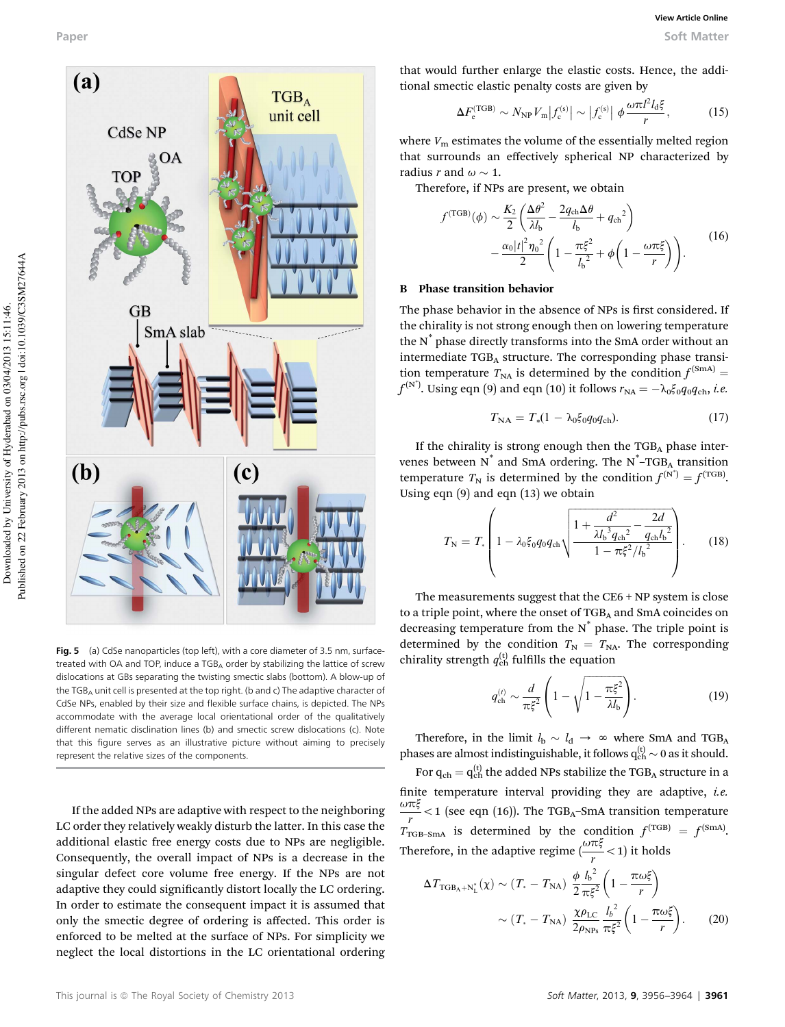

Fig. 5 (a) CdSe nanoparticles (top left), with a core diameter of 3.5 nm, surfacetreated with OA and TOP, induce a  $TGB<sub>A</sub>$  order by stabilizing the lattice of screw dislocations at GBs separating the twisting smectic slabs (bottom). A blow-up of the TGB<sub>A</sub> unit cell is presented at the top right. (b and c) The adaptive character of CdSe NPs, enabled by their size and flexible surface chains, is depicted. The NPs accommodate with the average local orientational order of the qualitatively different nematic disclination lines (b) and smectic screw dislocations (c). Note that this figure serves as an illustrative picture without aiming to precisely represent the relative sizes of the components.

If the added NPs are adaptive with respect to the neighboring LC order they relatively weakly disturb the latter. In this case the additional elastic free energy costs due to NPs are negligible. Consequently, the overall impact of NPs is a decrease in the singular defect core volume free energy. If the NPs are not adaptive they could significantly distort locally the LC ordering. In order to estimate the consequent impact it is assumed that only the smectic degree of ordering is affected. This order is enforced to be melted at the surface of NPs. For simplicity we neglect the local distortions in the LC orientational ordering

that would further enlarge the elastic costs. Hence, the additional smectic elastic penalty costs are given by

$$
\Delta F_{\rm e}^{\rm (TGB)} \sim N_{\rm NP} V_{\rm m} \left| f_{\rm c}^{\rm (s)} \right| \sim \left| f_{\rm c}^{\rm (s)} \right| \phi \frac{\omega \pi l^2 l_{\rm d} \xi}{r},\tag{15}
$$

where  $V<sub>m</sub>$  estimates the volume of the essentially melted region that surrounds an effectively spherical NP characterized by radius r and  $\omega \sim 1$ .

Therefore, if NPs are present, we obtain

$$
f^{(\text{TGB})}(\phi) \sim \frac{K_2}{2} \left( \frac{\Delta \theta^2}{\lambda l_b} - \frac{2q_{ch}\Delta \theta}{l_b} + q_{ch}^2 \right) - \frac{\alpha_0 |t|^2 \eta_0^2}{2} \left( 1 - \frac{\pi \xi^2}{l_b^2} + \phi \left( 1 - \frac{\omega \pi \xi}{r} \right) \right). \tag{16}
$$

#### B Phase transition behavior

The phase behavior in the absence of NPs is first considered. If the chirality is not strong enough then on lowering temperature the N\* phase directly transforms into the SmA order without an intermediate TGB<sub>A</sub> structure. The corresponding phase transition temperature  $T_{NA}$  is determined by the condition  $f^{\text{(SmA)}}$  =  $f^{(\textrm{N}^*)}$ . Using eqn (9) and eqn (10) it follows  $r_{\textrm{NA}}=-\lambda_{0}\xi_{0}q_{0}q_{\textrm{ch}},$  *i.e.* 

$$
T_{\rm NA} = T_*(1 - \lambda_0 \xi_0 q_0 q_{\rm ch}). \tag{17}
$$

If the chirality is strong enough then the  $TGB<sub>A</sub>$  phase intervenes between  $N^*$  and SmA ordering. The  $N^*$ –TGB<sub>A</sub> transition temperature  $T_N$  is determined by the condition  $f^{(N^*)} = f^{(TGB)}$ . Using eqn (9) and eqn (13) we obtain

$$
T_{\rm N} = T_{\ast} \left( 1 - \lambda_0 \xi_0 q_0 q_{\rm ch} \sqrt{\frac{1 + \frac{d^2}{\lambda l_{\rm b}^3 q_{\rm ch}^2} - \frac{2d}{q_{\rm ch} l_{\rm b}^2}}{1 - \pi \xi^2 / l_{\rm b}^2}} \right). \tag{18}
$$

The measurements suggest that the CE6 + NP system is close to a triple point, where the onset of  $TGB<sub>A</sub>$  and SmA coincides on decreasing temperature from the  $N^*$  phase. The triple point is determined by the condition  $T_N = T_{NA}$ . The corresponding chirality strength  $q_{\rm ch}^{(t)}$  fulfills the equation

$$
q_{\rm ch}^{(t)} \sim \frac{d}{\pi \xi^2} \left( 1 - \sqrt{1 - \frac{\pi \xi^2}{\lambda l_{\rm b}}} \right). \tag{19}
$$

Therefore, in the limit  $l_b \sim l_d \rightarrow \infty$  where SmA and TGB<sub>A</sub> phases are almost indistinguishable, it follows  $q_{ch}^{(t)} \sim 0$  as it should.

For  $q_{ch} = q_{ch}^{(t)}$  the added NPs stabilize the TGB<sub>A</sub> structure in a finite temperature interval providing they are adaptive, *i.e.*  $\frac{\omega \pi \xi}{r}$  < 1 (see eqn (16)). The TGB<sub>A</sub>–SmA transition temperature  $T_{\text{TGB-SmA}}$  is determined by the condition  $f^{\text{(TGB)}} = f^{\text{(SmA)}}$ . Therefore, in the adaptive regime  $\left(\frac{\omega \pi \xi}{r} < 1\right)$  it holds

$$
\Delta T_{\text{TGB}_\text{A} + \text{N}_\text{L}^*}(\chi) \sim (T_* - T_{\text{NA}}) \frac{\phi h_b^2}{2 \pi \xi^2} \left( 1 - \frac{\pi \omega \xi}{r} \right)
$$

$$
\sim (T_* - T_{\text{NA}}) \frac{\chi \rho_{\text{LC}}}{2 \rho_{\text{NPs}}} \frac{l_b^2}{\pi \xi^2} \left( 1 - \frac{\pi \omega \xi}{r} \right). \tag{20}
$$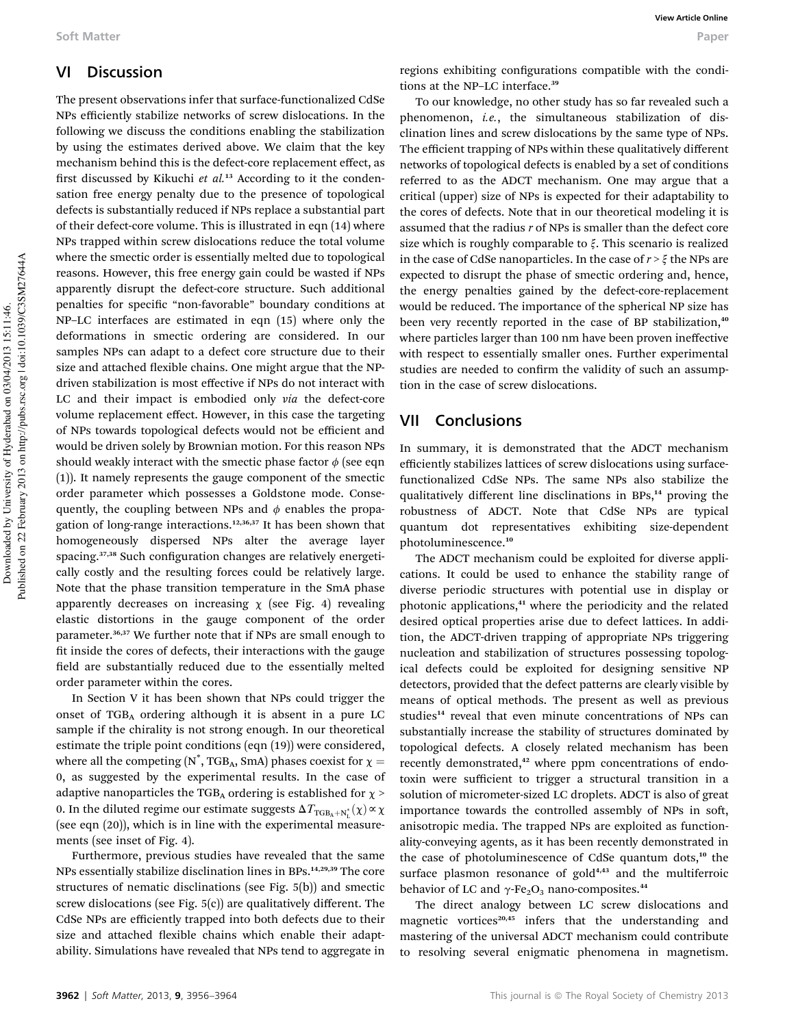### VI Discussion

The present observations infer that surface-functionalized CdSe NPs efficiently stabilize networks of screw dislocations. In the following we discuss the conditions enabling the stabilization by using the estimates derived above. We claim that the key mechanism behind this is the defect-core replacement effect, as first discussed by Kikuchi et  $al.^{13}$  According to it the condensation free energy penalty due to the presence of topological defects is substantially reduced if NPs replace a substantial part of their defect-core volume. This is illustrated in eqn (14) where NPs trapped within screw dislocations reduce the total volume where the smectic order is essentially melted due to topological reasons. However, this free energy gain could be wasted if NPs apparently disrupt the defect-core structure. Such additional penalties for specific "non-favorable" boundary conditions at NP–LC interfaces are estimated in eqn (15) where only the deformations in smectic ordering are considered. In our samples NPs can adapt to a defect core structure due to their size and attached flexible chains. One might argue that the NPdriven stabilization is most effective if NPs do not interact with LC and their impact is embodied only via the defect-core volume replacement effect. However, in this case the targeting of NPs towards topological defects would not be efficient and would be driven solely by Brownian motion. For this reason NPs should weakly interact with the smectic phase factor  $\phi$  (see eqn (1)). It namely represents the gauge component of the smectic order parameter which possesses a Goldstone mode. Consequently, the coupling between NPs and  $\phi$  enables the propagation of long-range interactions.<sup>12,36,37</sup> It has been shown that homogeneously dispersed NPs alter the average layer spacing.<sup>37,38</sup> Such configuration changes are relatively energetically costly and the resulting forces could be relatively large. Note that the phase transition temperature in the SmA phase apparently decreases on increasing  $\chi$  (see Fig. 4) revealing elastic distortions in the gauge component of the order parameter.36,37 We further note that if NPs are small enough to fit inside the cores of defects, their interactions with the gauge field are substantially reduced due to the essentially melted order parameter within the cores.

In Section V it has been shown that NPs could trigger the onset of  $TGB<sub>A</sub>$  ordering although it is absent in a pure LC sample if the chirality is not strong enough. In our theoretical estimate the triple point conditions (eqn (19)) were considered, where all the competing (N<sup>\*</sup>, TGB<sub>A</sub>, SmA) phases coexist for  $\chi$  = 0, as suggested by the experimental results. In the case of adaptive nanoparticles the TGB<sub>A</sub> ordering is established for  $\chi$  > 0. In the diluted regime our estimate suggests  $\Delta T_{\text{TGB}_A+N_L^*}(\chi) \propto \chi$ (see eqn (20)), which is in line with the experimental measurements (see inset of Fig. 4).

Furthermore, previous studies have revealed that the same NPs essentially stabilize disclination lines in BPs.<sup>14,29,39</sup> The core structures of nematic disclinations (see Fig. 5(b)) and smectic screw dislocations (see Fig. 5(c)) are qualitatively different. The CdSe NPs are efficiently trapped into both defects due to their size and attached flexible chains which enable their adaptability. Simulations have revealed that NPs tend to aggregate in regions exhibiting configurations compatible with the conditions at the NP-LC interface.<sup>39</sup>

To our knowledge, no other study has so far revealed such a phenomenon, i.e., the simultaneous stabilization of disclination lines and screw dislocations by the same type of NPs. The efficient trapping of NPs within these qualitatively different networks of topological defects is enabled by a set of conditions referred to as the ADCT mechanism. One may argue that a critical (upper) size of NPs is expected for their adaptability to the cores of defects. Note that in our theoretical modeling it is assumed that the radius  $r$  of NPs is smaller than the defect core size which is roughly comparable to  $\xi$ . This scenario is realized in the case of CdSe nanoparticles. In the case of  $r > \xi$  the NPs are expected to disrupt the phase of smectic ordering and, hence, the energy penalties gained by the defect-core-replacement would be reduced. The importance of the spherical NP size has been very recently reported in the case of BP stabilization,<sup>40</sup> where particles larger than 100 nm have been proven ineffective with respect to essentially smaller ones. Further experimental studies are needed to confirm the validity of such an assumption in the case of screw dislocations.

### VII Conclusions

In summary, it is demonstrated that the ADCT mechanism efficiently stabilizes lattices of screw dislocations using surfacefunctionalized CdSe NPs. The same NPs also stabilize the qualitatively different line disclinations in BPs,<sup>14</sup> proving the robustness of ADCT. Note that CdSe NPs are typical quantum dot representatives exhibiting size-dependent photoluminescence.<sup>10</sup>

The ADCT mechanism could be exploited for diverse applications. It could be used to enhance the stability range of diverse periodic structures with potential use in display or photonic applications,<sup>41</sup> where the periodicity and the related desired optical properties arise due to defect lattices. In addition, the ADCT-driven trapping of appropriate NPs triggering nucleation and stabilization of structures possessing topological defects could be exploited for designing sensitive NP detectors, provided that the defect patterns are clearly visible by means of optical methods. The present as well as previous studies<sup>14</sup> reveal that even minute concentrations of NPs can substantially increase the stability of structures dominated by topological defects. A closely related mechanism has been recently demonstrated,<sup>42</sup> where ppm concentrations of endotoxin were sufficient to trigger a structural transition in a solution of micrometer-sized LC droplets. ADCT is also of great importance towards the controlled assembly of NPs in soft, anisotropic media. The trapped NPs are exploited as functionality-conveying agents, as it has been recently demonstrated in the case of photoluminescence of CdSe quantum dots,<sup>10</sup> the surface plasmon resonance of  $gold<sup>4,43</sup>$  and the multiferroic behavior of LC and  $\gamma$ -Fe<sub>2</sub>O<sub>3</sub> nano-composites.<sup>44</sup>

The direct analogy between LC screw dislocations and magnetic vortices $20,45$  infers that the understanding and mastering of the universal ADCT mechanism could contribute to resolving several enigmatic phenomena in magnetism.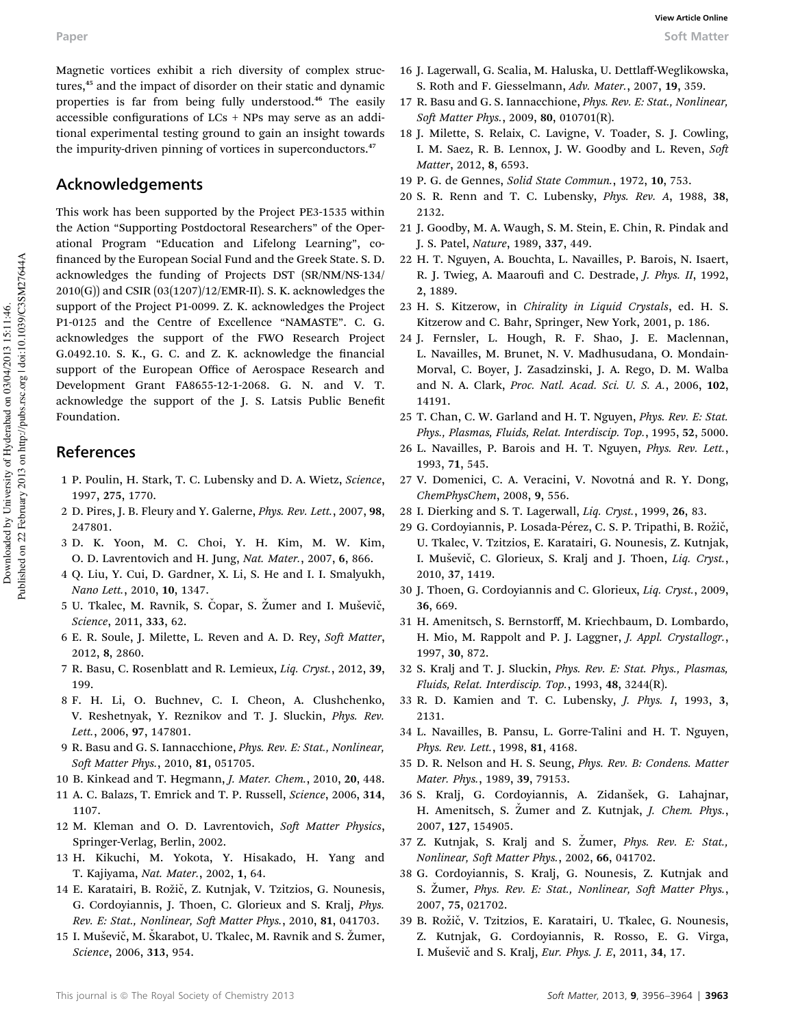Magnetic vortices exhibit a rich diversity of complex structures,<sup>45</sup> and the impact of disorder on their static and dynamic properties is far from being fully understood.<sup>46</sup> The easily accessible configurations of  $LCs$  + NPs may serve as an additional experimental testing ground to gain an insight towards the impurity-driven pinning of vortices in superconductors.<sup>47</sup>

# Acknowledgements

This work has been supported by the Project PE3-1535 within the Action "Supporting Postdoctoral Researchers" of the Operational Program "Education and Lifelong Learning", co financed by the European Social Fund and the Greek State. S. D. acknowledges the funding of Projects DST (SR/NM/NS-134/  $2010(G)$ ) and CSIR  $(03(1207)/12/EMR-II)$ . S. K. acknowledges the support of the Project P1-0099. Z. K. acknowledges the Project P1-0125 and the Centre of Excellence "NAMASTE". C. G. acknowledges the support of the FWO Research Project G.0492.10. S. K., G. C. and Z. K. acknowledge the financial support of the European Office of Aerospace Research and Development Grant FA8655-12-1-2068. G. N. and V. T. acknowledge the support of the J. S. Latsis Public Benefit Foundation.

# References

- 1 P. Poulin, H. Stark, T. C. Lubensky and D. A. Wietz, Science, 1997, 275, 1770.
- 2 D. Pires, J. B. Fleury and Y. Galerne, Phys. Rev. Lett., 2007, 98, 247801.
- 3 D. K. Yoon, M. C. Choi, Y. H. Kim, M. W. Kim, O. D. Lavrentovich and H. Jung, Nat. Mater., 2007, 6, 866.
- 4 Q. Liu, Y. Cui, D. Gardner, X. Li, S. He and I. I. Smalyukh, Nano Lett., 2010, 10, 1347.
- 5 U. Tkalec, M. Ravnik, S. Copar, S. Zumer and I. Muševič, Science, 2011, 333, 62.
- 6 E. R. Soule, J. Milette, L. Reven and A. D. Rey, Soft Matter, 2012, 8, 2860.
- 7 R. Basu, C. Rosenblatt and R. Lemieux, Liq. Cryst., 2012, 39, 199.
- 8 F. H. Li, O. Buchnev, C. I. Cheon, A. Clushchenko, V. Reshetnyak, Y. Reznikov and T. J. Sluckin, Phys. Rev. Lett., 2006, 97, 147801.
- 9 R. Basu and G. S. Iannacchione, Phys. Rev. E: Stat., Nonlinear, Soft Matter Phys., 2010, 81, 051705.
- 10 B. Kinkead and T. Hegmann, J. Mater. Chem., 2010, 20, 448.
- 11 A. C. Balazs, T. Emrick and T. P. Russell, Science, 2006, 314, 1107.
- 12 M. Kleman and O. D. Lavrentovich, Soft Matter Physics, Springer-Verlag, Berlin, 2002.
- 13 H. Kikuchi, M. Yokota, Y. Hisakado, H. Yang and T. Kajiyama, Nat. Mater., 2002, 1, 64.
- 14 E. Karatairi, B. Rožič, Z. Kutnjak, V. Tzitzios, G. Nounesis, G. Cordoyiannis, J. Thoen, C. Glorieux and S. Kralj, Phys. Rev. E: Stat., Nonlinear, Soft Matter Phys., 2010, 81, 041703.
- 15 I. Muševič, M. Škarabot, U. Tkalec, M. Ravnik and S. Žumer, Science, 2006, 313, 954.
- 16 J. Lagerwall, G. Scalia, M. Haluska, U. Dettlaff-Weglikowska, S. Roth and F. Giesselmann, Adv. Mater., 2007, 19, 359.
- 17 R. Basu and G. S. Iannacchione, Phys. Rev. E: Stat., Nonlinear, Soft Matter Phys., 2009, 80, 010701(R).
- 18 J. Milette, S. Relaix, C. Lavigne, V. Toader, S. J. Cowling, I. M. Saez, R. B. Lennox, J. W. Goodby and L. Reven, Soft Matter, 2012, 8, 6593.
- 19 P. G. de Gennes, Solid State Commun., 1972, 10, 753.
- 20 S. R. Renn and T. C. Lubensky, Phys. Rev. A, 1988, 38, 2132.
- 21 J. Goodby, M. A. Waugh, S. M. Stein, E. Chin, R. Pindak and J. S. Patel, Nature, 1989, 337, 449.
- 22 H. T. Nguyen, A. Bouchta, L. Navailles, P. Barois, N. Isaert, R. J. Twieg, A. Maaroufi and C. Destrade, J. Phys. II, 1992, 2, 1889.
- 23 H. S. Kitzerow, in Chirality in Liquid Crystals, ed. H. S. Kitzerow and C. Bahr, Springer, New York, 2001, p. 186.
- 24 J. Fernsler, L. Hough, R. F. Shao, J. E. Maclennan, L. Navailles, M. Brunet, N. V. Madhusudana, O. Mondain-Morval, C. Boyer, J. Zasadzinski, J. A. Rego, D. M. Walba and N. A. Clark, Proc. Natl. Acad. Sci. U. S. A., 2006, 102, 14191.
- 25 T. Chan, C. W. Garland and H. T. Nguyen, Phys. Rev. E: Stat. Phys., Plasmas, Fluids, Relat. Interdiscip. Top., 1995, 52, 5000.
- 26 L. Navailles, P. Barois and H. T. Nguyen, Phys. Rev. Lett., 1993, 71, 545.
- 27 V. Domenici, C. A. Veracini, V. Novotná and R. Y. Dong, ChemPhysChem, 2008, 9, 556.
- 28 I. Dierking and S. T. Lagerwall, Liq. Cryst., 1999, 26, 83.
- 29 G. Cordoyiannis, P. Losada-Pérez, C. S. P. Tripathi, B. Rožič, U. Tkalec, V. Tzitzios, E. Karatairi, G. Nounesis, Z. Kutnjak, I. Muševič, C. Glorieux, S. Kralj and J. Thoen, Liq. Cryst., 2010, 37, 1419.
- 30 J. Thoen, G. Cordoyiannis and C. Glorieux, Liq. Cryst., 2009, 36, 669.
- 31 H. Amenitsch, S. Bernstorff, M. Kriechbaum, D. Lombardo, H. Mio, M. Rappolt and P. J. Laggner, J. Appl. Crystallogr., 1997, 30, 872.
- 32 S. Kralj and T. J. Sluckin, Phys. Rev. E: Stat. Phys., Plasmas, Fluids, Relat. Interdiscip. Top., 1993, 48, 3244(R).
- 33 R. D. Kamien and T. C. Lubensky, J. Phys. I, 1993, 3, 2131.
- 34 L. Navailles, B. Pansu, L. Gorre-Talini and H. T. Nguyen, Phys. Rev. Lett., 1998, 81, 4168.
- 35 D. R. Nelson and H. S. Seung, Phys. Rev. B: Condens. Matter Mater. Phys., 1989, 39, 79153.
- 36 S. Kralj, G. Cordoyiannis, A. Zidanšek, G. Lahajnar, H. Amenitsch, S. Zumer and Z. Kutnjak, J. Chem. Phys., 2007, 127, 154905.
- 37 Z. Kutnjak, S. Kralj and S. Žumer, *Phys. Rev. E: Stat.*, Nonlinear, Soft Matter Phys., 2002, 66, 041702.
- 38 G. Cordoyiannis, S. Kralj, G. Nounesis, Z. Kutnjak and S. Zumer, Phys. Rev. E: Stat., Nonlinear, Soft Matter Phys., 2007, 75, 021702.
- 39 B. Rožič, V. Tzitzios, E. Karatairi, U. Tkalec, G. Nounesis, Z. Kutnjak, G. Cordoyiannis, R. Rosso, E. G. Virga, I. Muševič and S. Kralj, Eur. Phys. J. E, 2011, 34, 17.